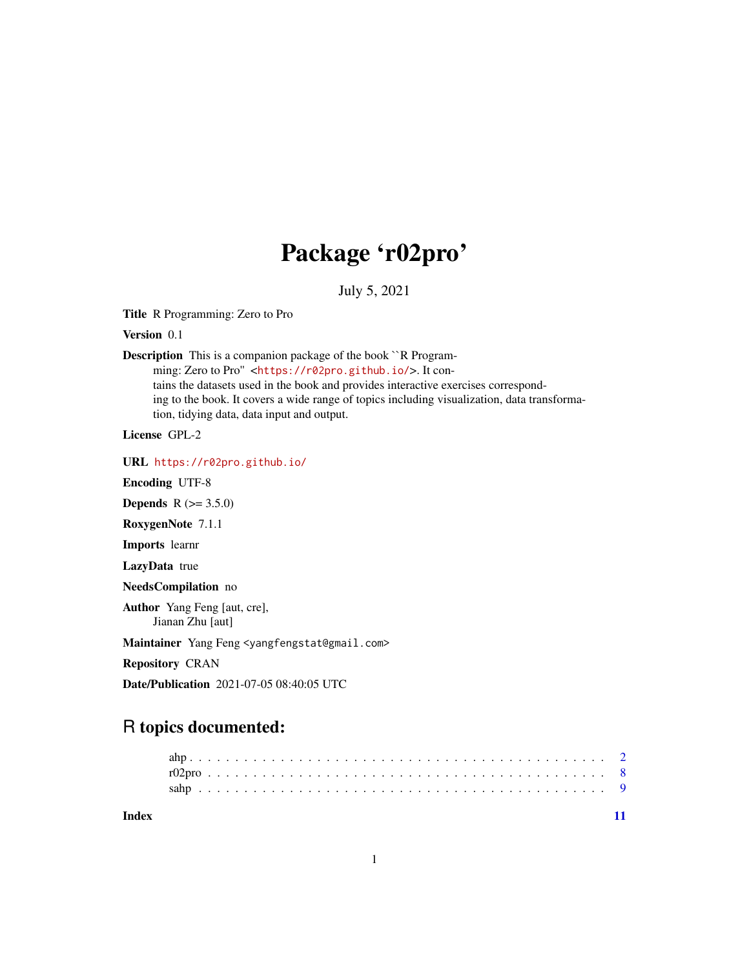## Package 'r02pro'

July 5, 2021

Title R Programming: Zero to Pro

Version 0.1

Description This is a companion package of the book ``R Programming: Zero to Pro'' <<https://r02pro.github.io/>>. It contains the datasets used in the book and provides interactive exercises corresponding to the book. It covers a wide range of topics including visualization, data transformation, tidying data, data input and output.

License GPL-2

URL <https://r02pro.github.io/>

Encoding UTF-8

**Depends** R  $(>= 3.5.0)$ 

RoxygenNote 7.1.1

Imports learnr

LazyData true

NeedsCompilation no

Author Yang Feng [aut, cre], Jianan Zhu [aut]

Maintainer Yang Feng <yangfengstat@gmail.com>

Repository CRAN

Date/Publication 2021-07-05 08:40:05 UTC

### R topics documented:

**Index** [11](#page-10-0)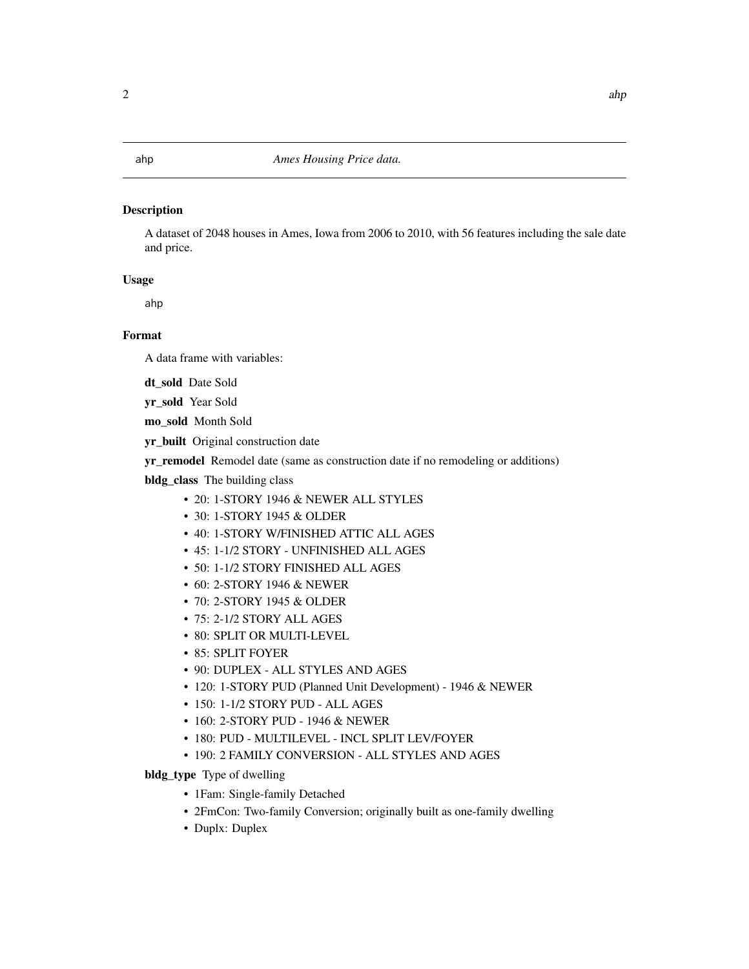#### <span id="page-1-0"></span>Description

A dataset of 2048 houses in Ames, Iowa from 2006 to 2010, with 56 features including the sale date and price.

#### Usage

ahp

#### Format

A data frame with variables:

dt\_sold Date Sold

yr\_sold Year Sold

mo\_sold Month Sold

yr\_built Original construction date

yr\_remodel Remodel date (same as construction date if no remodeling or additions)

bldg\_class The building class

- 20: 1-STORY 1946 & NEWER ALL STYLES
- 30: 1-STORY 1945 & OLDER
- 40: 1-STORY W/FINISHED ATTIC ALL AGES
- 45: 1-1/2 STORY UNFINISHED ALL AGES
- 50: 1-1/2 STORY FINISHED ALL AGES
- 60: 2-STORY 1946 & NEWER
- 70: 2-STORY 1945 & OLDER
- 75: 2-1/2 STORY ALL AGES
- 80: SPLIT OR MULTI-LEVEL
- 85: SPLIT FOYER
- 90: DUPLEX ALL STYLES AND AGES
- 120: 1-STORY PUD (Planned Unit Development) 1946 & NEWER
- 150: 1-1/2 STORY PUD ALL AGES
- 160: 2-STORY PUD 1946 & NEWER
- 180: PUD MULTILEVEL INCL SPLIT LEV/FOYER
- 190: 2 FAMILY CONVERSION ALL STYLES AND AGES

bldg\_type Type of dwelling

- 1Fam: Single-family Detached
- 2FmCon: Two-family Conversion; originally built as one-family dwelling
- Duplx: Duplex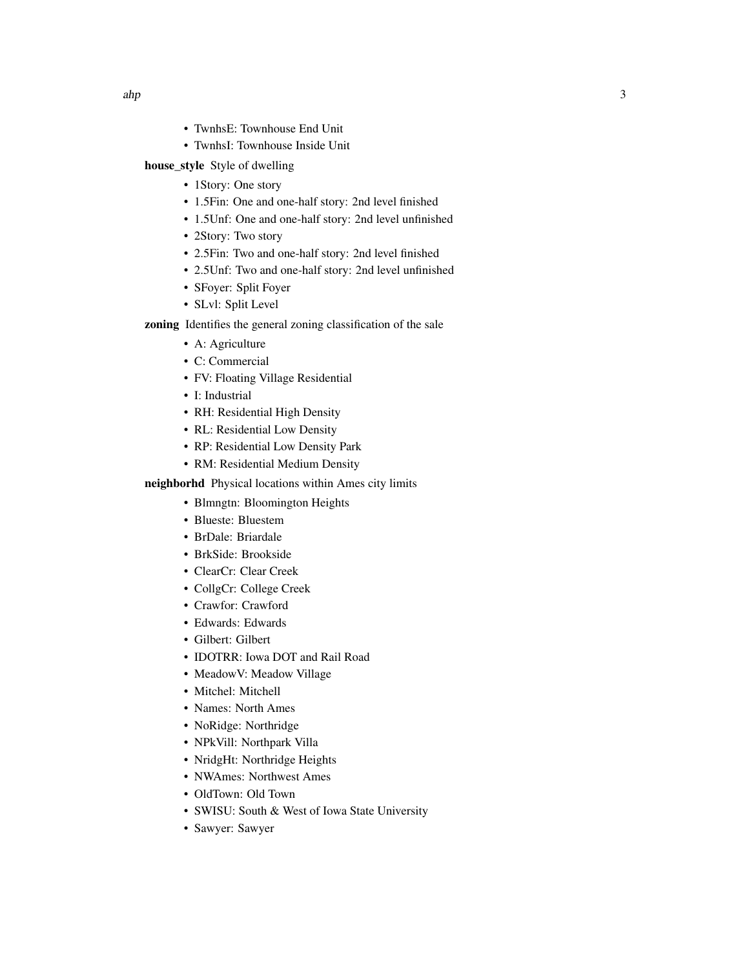- TwnhsE: Townhouse End Unit
- TwnhsI: Townhouse Inside Unit

#### house\_style Style of dwelling

- 1Story: One story
- 1.5Fin: One and one-half story: 2nd level finished
- 1.5Unf: One and one-half story: 2nd level unfinished
- 2Story: Two story
- 2.5Fin: Two and one-half story: 2nd level finished
- 2.5Unf: Two and one-half story: 2nd level unfinished
- SFoyer: Split Foyer
- SLvl: Split Level

zoning Identifies the general zoning classification of the sale

- A: Agriculture
- C: Commercial
- FV: Floating Village Residential
- I: Industrial
- RH: Residential High Density
- RL: Residential Low Density
- RP: Residential Low Density Park
- RM: Residential Medium Density

neighborhd Physical locations within Ames city limits

- Blmngtn: Bloomington Heights
- Blueste: Bluestem
- BrDale: Briardale
- BrkSide: Brookside
- ClearCr: Clear Creek
- CollgCr: College Creek
- Crawfor: Crawford
- Edwards: Edwards
- Gilbert: Gilbert
- IDOTRR: Iowa DOT and Rail Road
- MeadowV: Meadow Village
- Mitchel: Mitchell
- Names: North Ames
- NoRidge: Northridge
- NPkVill: Northpark Villa
- NridgHt: Northridge Heights
- NWAmes: Northwest Ames
- OldTown: Old Town
- SWISU: South & West of Iowa State University
- Sawyer: Sawyer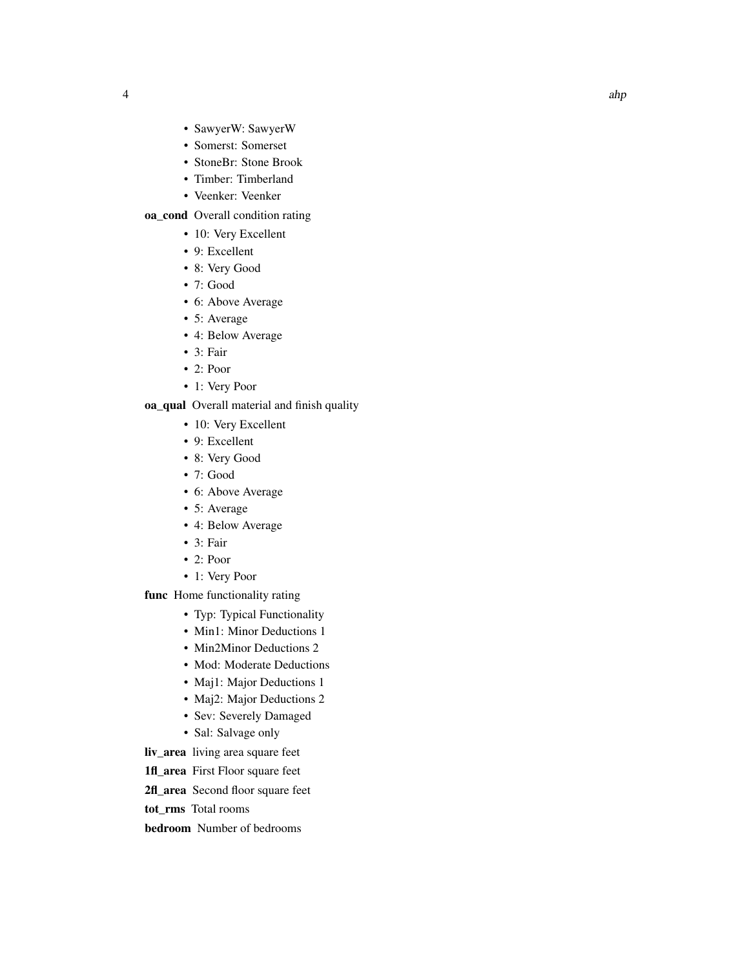- SawyerW: SawyerW
- Somerst: Somerset
- StoneBr: Stone Brook
- Timber: Timberland
- Veenker: Veenker
- oa\_cond Overall condition rating
	- 10: Very Excellent
	- 9: Excellent
	- 8: Very Good
	- 7: Good
	- 6: Above Average
	- 5: Average
	- 4: Below Average
	- 3: Fair
	- 2: Poor
	- 1: Very Poor

oa\_qual Overall material and finish quality

- 10: Very Excellent
- 9: Excellent
- 8: Very Good
- 7: Good
- 6: Above Average
- 5: Average
- 4: Below Average
- 3: Fair
- 2: Poor
- 1: Very Poor

func Home functionality rating

- Typ: Typical Functionality
- Min1: Minor Deductions 1
- Min2Minor Deductions 2
- Mod: Moderate Deductions
- Maj1: Major Deductions 1
- Maj2: Major Deductions 2
- Sev: Severely Damaged
- Sal: Salvage only

liv\_area living area square feet

- 1fl\_area First Floor square feet
- 2fl\_area Second floor square feet
- tot rms Total rooms
- bedroom Number of bedrooms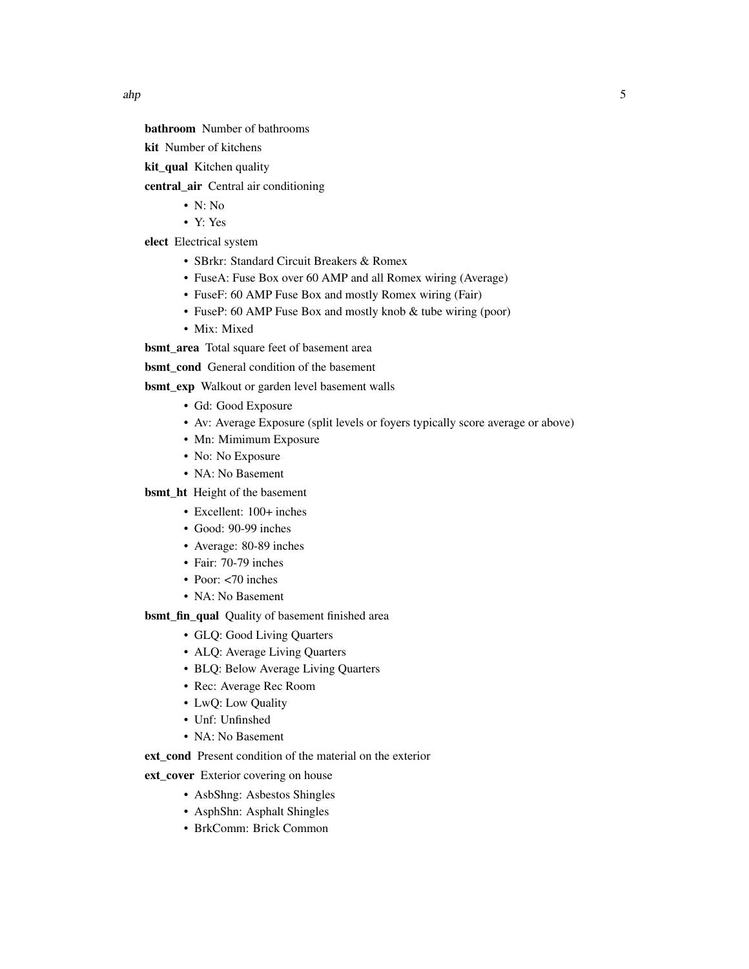bathroom Number of bathrooms

kit Number of kitchens

kit\_qual Kitchen quality

central\_air Central air conditioning

- N: No
- Y: Yes

elect Electrical system

- SBrkr: Standard Circuit Breakers & Romex
- FuseA: Fuse Box over 60 AMP and all Romex wiring (Average)
- FuseF: 60 AMP Fuse Box and mostly Romex wiring (Fair)
- FuseP: 60 AMP Fuse Box and mostly knob & tube wiring (poor)
- Mix: Mixed

**bsmt\_area** Total square feet of basement area

**bsmt\_cond** General condition of the basement

bsmt\_exp Walkout or garden level basement walls

- Gd: Good Exposure
- Av: Average Exposure (split levels or foyers typically score average or above)
- Mn: Mimimum Exposure
- No: No Exposure
- NA: No Basement

bsmt\_ht Height of the basement

- Excellent: 100+ inches
- Good: 90-99 inches
- Average: 80-89 inches
- Fair: 70-79 inches
- Poor: <70 inches
- NA: No Basement

bsmt\_fin\_qual Quality of basement finished area

- GLQ: Good Living Quarters
- ALQ: Average Living Quarters
- BLQ: Below Average Living Quarters
- Rec: Average Rec Room
- LwQ: Low Quality
- Unf: Unfinshed
- NA: No Basement

ext cond Present condition of the material on the exterior

ext\_cover Exterior covering on house

- AsbShng: Asbestos Shingles
- AsphShn: Asphalt Shingles
- BrkComm: Brick Common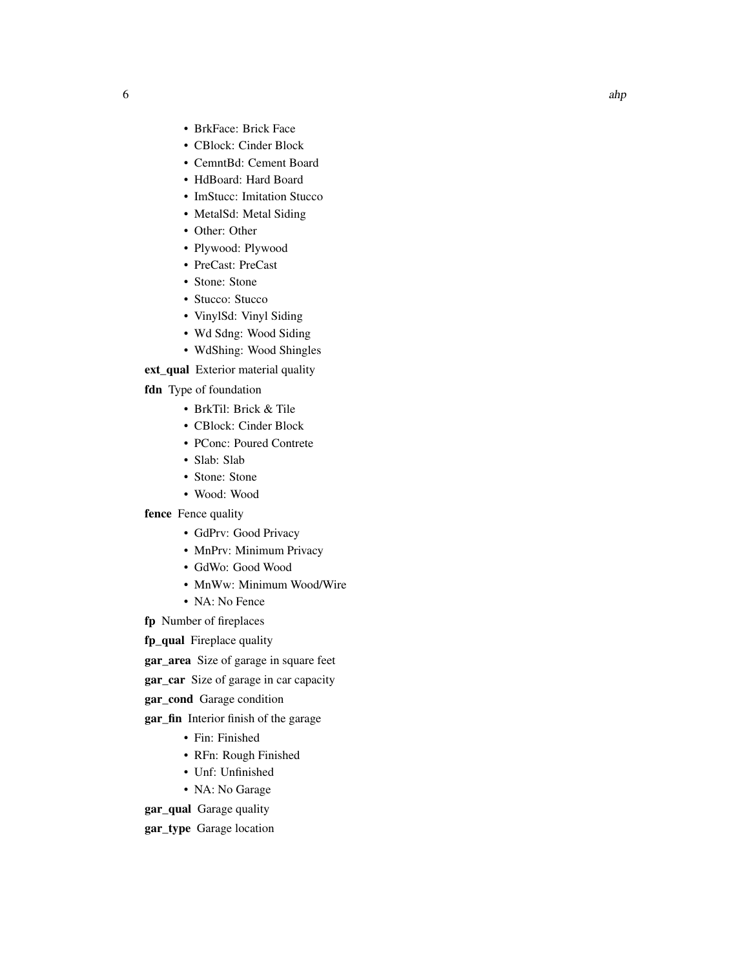- BrkFace: Brick Face
- CBlock: Cinder Block
- CemntBd: Cement Board
- HdBoard: Hard Board
- ImStucc: Imitation Stucco
- MetalSd: Metal Siding
- Other: Other
- Plywood: Plywood
- PreCast: PreCast
- Stone: Stone
- Stucco: Stucco
- VinylSd: Vinyl Siding
- Wd Sdng: Wood Siding
- WdShing: Wood Shingles

ext\_qual Exterior material quality

fdn Type of foundation

- BrkTil: Brick & Tile
- CBlock: Cinder Block
- PConc: Poured Contrete
- Slab: Slab
- Stone: Stone
- Wood: Wood
- fence Fence quality
	- GdPrv: Good Privacy
	- MnPrv: Minimum Privacy
	- GdWo: Good Wood
	- MnWw: Minimum Wood/Wire
	- NA: No Fence

fp Number of fireplaces

fp\_qual Fireplace quality

gar\_area Size of garage in square feet

gar\_car Size of garage in car capacity

gar\_cond Garage condition

gar\_fin Interior finish of the garage

- Fin: Finished
- RFn: Rough Finished
- Unf: Unfinished
- NA: No Garage

gar\_qual Garage quality

gar\_type Garage location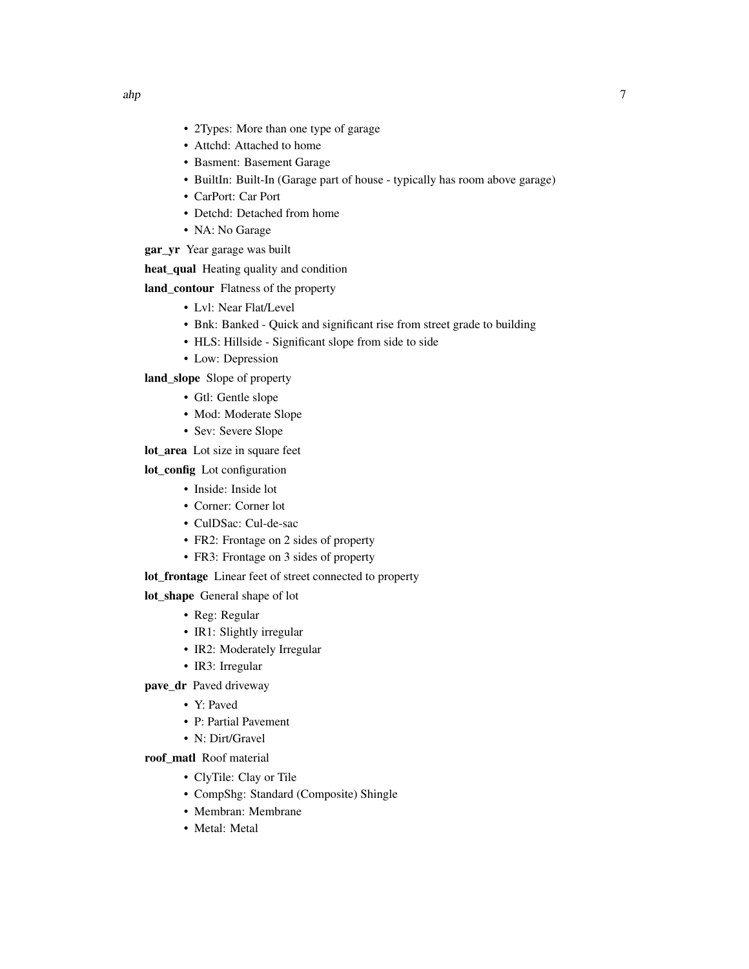- 2Types: More than one type of garage
- Attchd: Attached to home
- Basment: Basement Garage
- BuiltIn: Built-In (Garage part of house typically has room above garage)
- CarPort: Car Port
- Detchd: Detached from home
- NA: No Garage
- gar\_yr Year garage was built
- heat\_qual Heating quality and condition
- land\_contour Flatness of the property
	- Lvl: Near Flat/Level
	- Bnk: Banked Quick and significant rise from street grade to building
	- HLS: Hillside Significant slope from side to side
	- Low: Depression

land\_slope Slope of property

- Gtl: Gentle slope
- Mod: Moderate Slope
- Sev: Severe Slope

lot\_area Lot size in square feet

lot\_config Lot configuration

- Inside: Inside lot
- Corner: Corner lot
- CulDSac: Cul-de-sac
- FR2: Frontage on 2 sides of property
- FR3: Frontage on 3 sides of property
- lot\_frontage Linear feet of street connected to property

lot\_shape General shape of lot

- Reg: Regular
- IR1: Slightly irregular
- IR2: Moderately Irregular
- IR3: Irregular
- pave\_dr Paved driveway
	- Y: Paved
	- P: Partial Pavement
	- N: Dirt/Gravel

roof\_matl Roof material

- ClyTile: Clay or Tile
- CompShg: Standard (Composite) Shingle
- Membran: Membrane
- Metal: Metal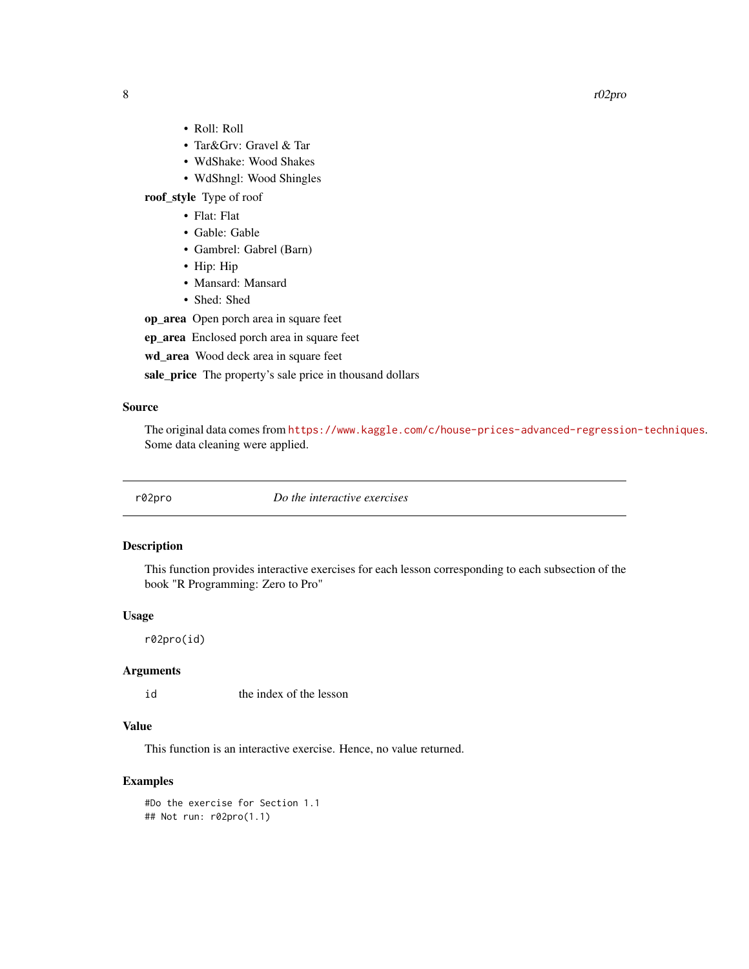<span id="page-7-0"></span> $8$  r02pro

- Roll: Roll
- Tar&Grv: Gravel & Tar
- WdShake: Wood Shakes
- WdShngl: Wood Shingles

roof\_style Type of roof

- Flat: Flat
- Gable: Gable
- Gambrel: Gabrel (Barn)
- Hip: Hip
- Mansard: Mansard
- Shed: Shed

op\_area Open porch area in square feet

ep\_area Enclosed porch area in square feet

wd\_area Wood deck area in square feet

sale\_price The property's sale price in thousand dollars

#### Source

The original data comes from <https://www.kaggle.com/c/house-prices-advanced-regression-techniques>. Some data cleaning were applied.

r02pro *Do the interactive exercises*

#### Description

This function provides interactive exercises for each lesson corresponding to each subsection of the book "R Programming: Zero to Pro"

#### Usage

r02pro(id)

#### Arguments

id the index of the lesson

#### Value

This function is an interactive exercise. Hence, no value returned.

#### Examples

```
#Do the exercise for Section 1.1
## Not run: r02pro(1.1)
```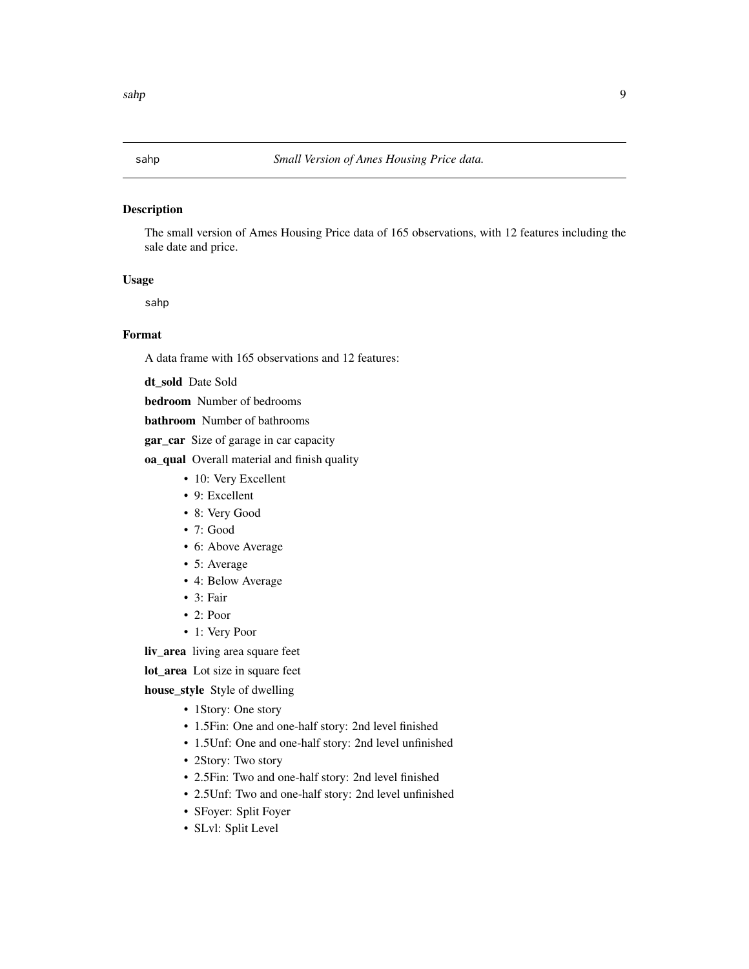<span id="page-8-0"></span>

#### Description

The small version of Ames Housing Price data of 165 observations, with 12 features including the sale date and price.

#### Usage

sahp

#### Format

A data frame with 165 observations and 12 features:

dt\_sold Date Sold

bedroom Number of bedrooms

bathroom Number of bathrooms

gar\_car Size of garage in car capacity

oa\_qual Overall material and finish quality

- 10: Very Excellent
- 9: Excellent
- 8: Very Good
- 7: Good
- 6: Above Average
- 5: Average
- 4: Below Average
- 3: Fair
- $\bullet$  2: Poor
- 1: Very Poor

liv\_area living area square feet

lot\_area Lot size in square feet

house\_style Style of dwelling

- 1Story: One story
- 1.5Fin: One and one-half story: 2nd level finished
- 1.5Unf: One and one-half story: 2nd level unfinished
- 2Story: Two story
- 2.5Fin: Two and one-half story: 2nd level finished
- 2.5Unf: Two and one-half story: 2nd level unfinished
- SFoyer: Split Foyer
- SLvl: Split Level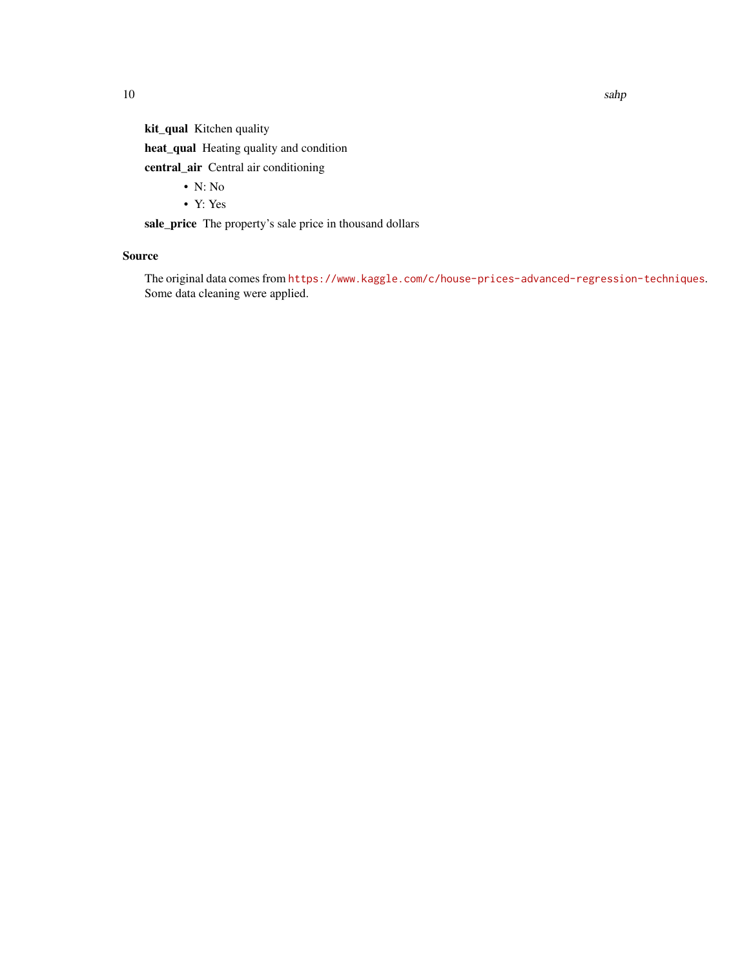10 sahp

kit\_qual Kitchen quality

heat\_qual Heating quality and condition

central\_air Central air conditioning

• N: No

• Y: Yes

sale\_price The property's sale price in thousand dollars

#### Source

The original data comes from <https://www.kaggle.com/c/house-prices-advanced-regression-techniques>. Some data cleaning were applied.